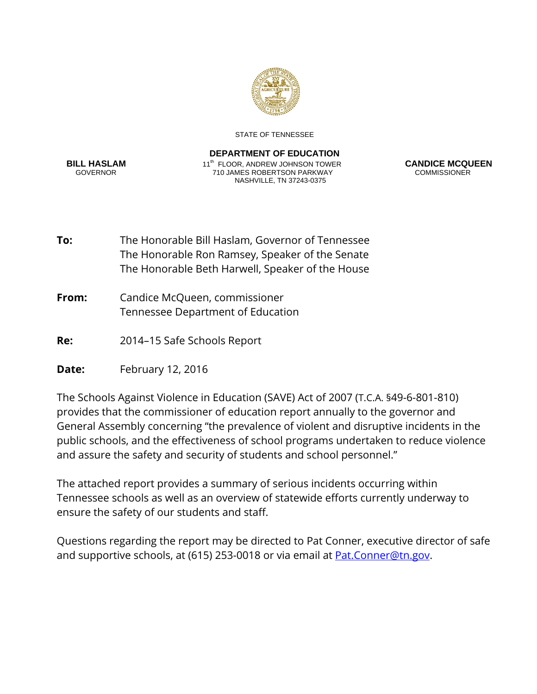

#### STATE OF TENNESSEE

#### **DEPARTMENT OF EDUCATION**

 **BILL HASLAM** 11th FLOOR, ANDREW JOHNSON TOWER **CANDICE MCQUEEN** GOVERNOR 710 JAMES ROBERTSON PARKWAY COMMISSIONER NASHVILLE, TN 37243-0375

- **To:** The Honorable Bill Haslam, Governor of Tennessee The Honorable Ron Ramsey, Speaker of the Senate The Honorable Beth Harwell, Speaker of the House
- **From:** Candice McQueen, commissioner Tennessee Department of Education
- **Re:** 2014–15 Safe Schools Report
- **Date:** February 12, 2016

The Schools Against Violence in Education (SAVE) Act of 2007 (T.C.A. §49-6-801-810) provides that the commissioner of education report annually to the governor and General Assembly concerning "the prevalence of violent and disruptive incidents in the public schools, and the effectiveness of school programs undertaken to reduce violence and assure the safety and security of students and school personnel."

The attached report provides a summary of serious incidents occurring within Tennessee schools as well as an overview of statewide efforts currently underway to ensure the safety of our students and staff.

Questions regarding the report may be directed to Pat Conner, executive director of safe and supportive schools, at (615) 253-0018 or via email at **Pat.Conner@tn.gov.**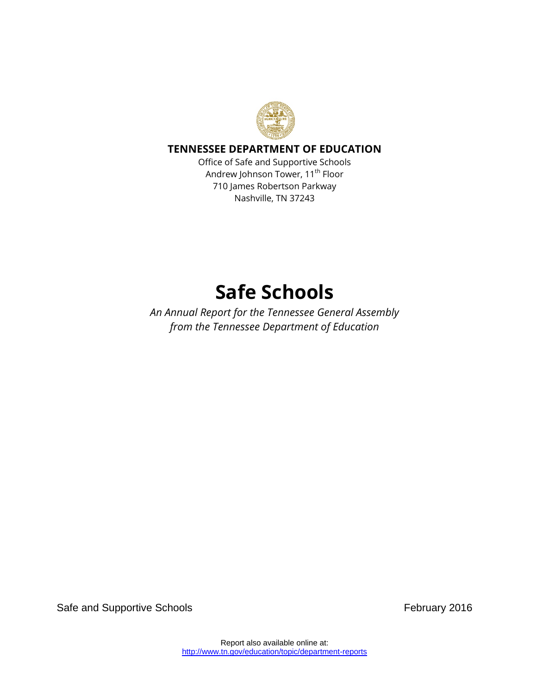

#### **TENNESSEE DEPARTMENT OF EDUCATION**

Office of Safe and Supportive Schools Andrew Johnson Tower, 11<sup>th</sup> Floor 710 James Robertson Parkway Nashville, TN 37243

# **Safe Schools**

*An Annual Report for the Tennessee General Assembly from the Tennessee Department of Education*

Safe and Supportive Schools **February 2016**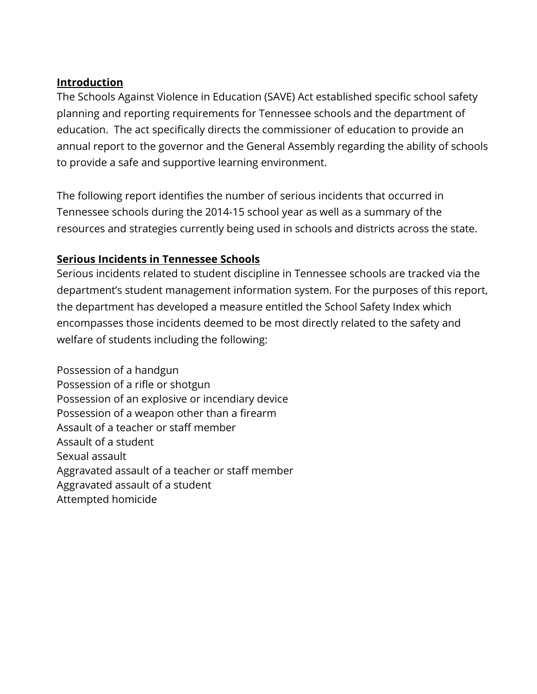#### **Introduction**

The Schools Against Violence in Education (SAVE) Act established specific school safety planning and reporting requirements for Tennessee schools and the department of education. The act specifically directs the commissioner of education to provide an annual report to the governor and the General Assembly regarding the ability of schools to provide a safe and supportive learning environment.

The following report identifies the number of serious incidents that occurred in Tennessee schools during the 2014-15 school year as well as a summary of the resources and strategies currently being used in schools and districts across the state.

### **Serious Incidents in Tennessee Schools**

Serious incidents related to student discipline in Tennessee schools are tracked via the department's student management information system. For the purposes of this report, the department has developed a measure entitled the School Safety Index which encompasses those incidents deemed to be most directly related to the safety and welfare of students including the following:

Possession of a handgun Possession of a rifle or shotgun Possession of an explosive or incendiary device Possession of a weapon other than a firearm Assault of a teacher or staff member Assault of a student Sexual assault Aggravated assault of a teacher or staff member Aggravated assault of a student Attempted homicide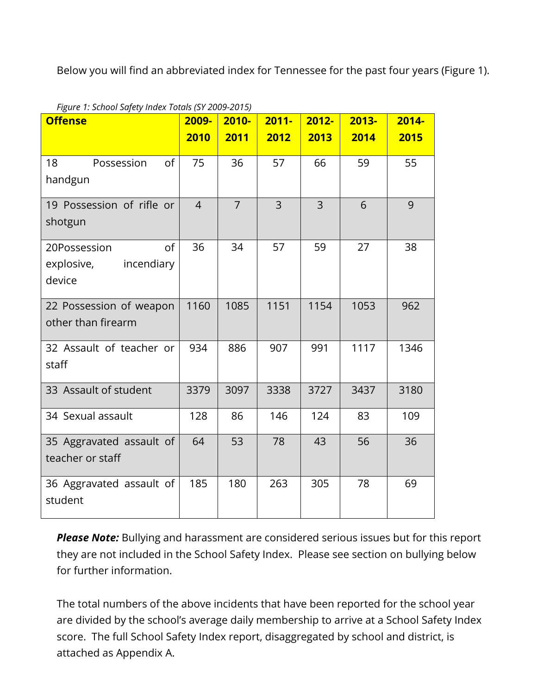Below you will find an abbreviated index for Tennessee for the past four years (Figure 1).

| $\mu$ gare 1. School Safety maex Totals (ST 2009-2013)<br><b>Offense</b> | 2009-          | $2010 -$       | $2011 -$       | $2012 -$       | $2013 -$ | $2014 -$ |
|--------------------------------------------------------------------------|----------------|----------------|----------------|----------------|----------|----------|
|                                                                          | 2010           | 2011           | 2012           | 2013           | 2014     | 2015     |
|                                                                          |                |                |                |                |          |          |
| 18<br>Possession<br>0f                                                   | 75             | 36             | 57             | 66             | 59       | 55       |
| handgun                                                                  |                |                |                |                |          |          |
| 19 Possession of rifle or                                                | $\overline{4}$ | $\overline{7}$ | $\overline{3}$ | $\overline{3}$ | 6        | 9        |
| shotgun                                                                  |                |                |                |                |          |          |
| of<br>20Possession                                                       | 36             | 34             | 57             | 59             | 27       | 38       |
| explosive, incendiary                                                    |                |                |                |                |          |          |
| device                                                                   |                |                |                |                |          |          |
| 22 Possession of weapon                                                  | 1160           | 1085           | 1151           | 1154           | 1053     | 962      |
| other than firearm                                                       |                |                |                |                |          |          |
| 32 Assault of teacher or                                                 | 934            | 886            | 907            | 991            | 1117     | 1346     |
| staff                                                                    |                |                |                |                |          |          |
| 33 Assault of student                                                    | 3379           | 3097           | 3338           | 3727           | 3437     | 3180     |
| 34 Sexual assault                                                        | 128            | 86             | 146            | 124            | 83       | 109      |
| 35 Aggravated assault of                                                 | 64             | 53             | 78             | 43             | 56       | 36       |
| teacher or staff                                                         |                |                |                |                |          |          |
| 36 Aggravated assault of                                                 | 185            | 180            | 263            | 305            | 78       | 69       |
| student                                                                  |                |                |                |                |          |          |
|                                                                          |                |                |                |                |          |          |

*Figure 1: School Safety Index Totals (SY 2009-2015)*

**Please Note:** Bullying and harassment are considered serious issues but for this report they are not included in the School Safety Index. Please see section on bullying below for further information.

The total numbers of the above incidents that have been reported for the school year are divided by the school's average daily membership to arrive at a School Safety Index score. The full School Safety Index report, disaggregated by school and district, is attached as Appendix A.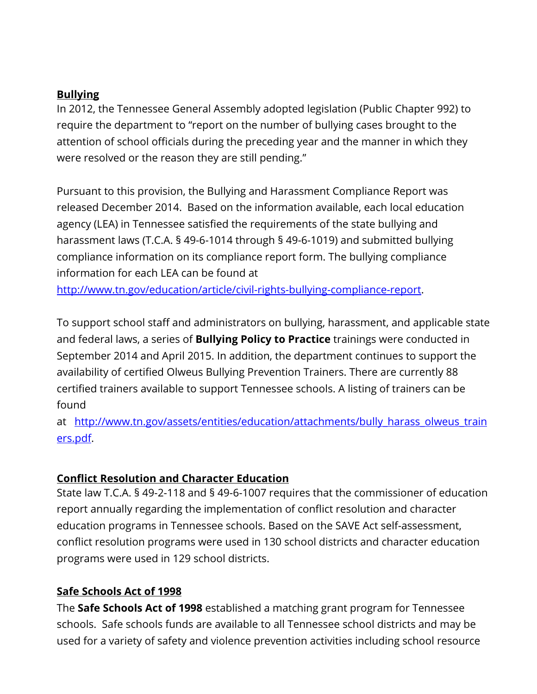#### **Bullying**

In 2012, the Tennessee General Assembly adopted legislation (Public Chapter 992) to require the department to "report on the number of bullying cases brought to the attention of school officials during the preceding year and the manner in which they were resolved or the reason they are still pending."

Pursuant to this provision, the Bullying and Harassment Compliance Report was released December 2014. Based on the information available, each local education agency (LEA) in Tennessee satisfied the requirements of the state bullying and harassment laws (T.C.A. § 49-6-1014 through § 49-6-1019) and submitted bullying compliance information on its compliance report form. The bullying compliance information for each LEA can be found at

[http://www.tn.gov/education/article/civil-rights-bullying-compliance-report.](http://www.tn.gov/education/article/civil-rights-bullying-compliance-report)

To support school staff and administrators on bullying, harassment, and applicable state and federal laws, a series of **Bullying Policy to Practice** trainings were conducted in September 2014 and April 2015. In addition, the department continues to support the availability of certified Olweus Bullying Prevention Trainers. There are currently 88 certified trainers available to support Tennessee schools. A listing of trainers can be found

at http://www.tn.gov/assets/entities/education/attachments/bully harass olweus train [ers.pdf.](http://www.tn.gov/assets/entities/education/attachments/bully_harass_olweus_trainers.pdf)

#### **Conflict Resolution and Character Education**

State law T.C.A. § 49-2-118 and § 49-6-1007 requires that the commissioner of education report annually regarding the implementation of conflict resolution and character education programs in Tennessee schools. Based on the SAVE Act self-assessment, conflict resolution programs were used in 130 school districts and character education programs were used in 129 school districts.

#### **Safe Schools Act of 1998**

The **Safe Schools Act of 1998** established a matching grant program for Tennessee schools. Safe schools funds are available to all Tennessee school districts and may be used for a variety of safety and violence prevention activities including school resource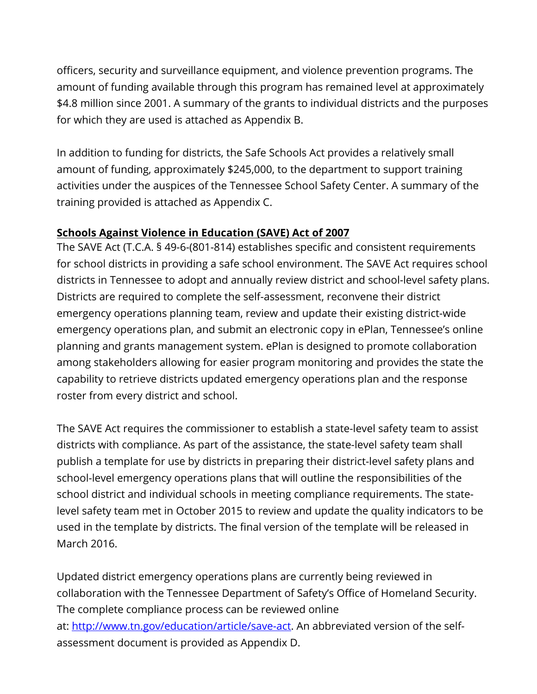officers, security and surveillance equipment, and violence prevention programs. The amount of funding available through this program has remained level at approximately \$4.8 million since 2001. A summary of the grants to individual districts and the purposes for which they are used is attached as Appendix B.

In addition to funding for districts, the Safe Schools Act provides a relatively small amount of funding, approximately \$245,000, to the department to support training activities under the auspices of the Tennessee School Safety Center. A summary of the training provided is attached as Appendix C.

### **Schools Against Violence in Education (SAVE) Act of 2007**

The SAVE Act (T.C.A. § 49-6-(801-814) establishes specific and consistent requirements for school districts in providing a safe school environment. The SAVE Act requires school districts in Tennessee to adopt and annually review district and school-level safety plans. Districts are required to complete the self-assessment, reconvene their district emergency operations planning team, review and update their existing district-wide emergency operations plan, and submit an electronic copy in ePlan, Tennessee's online planning and grants management system. ePlan is designed to promote collaboration among stakeholders allowing for easier program monitoring and provides the state the capability to retrieve districts updated emergency operations plan and the response roster from every district and school.

The SAVE Act requires the commissioner to establish a state-level safety team to assist districts with compliance. As part of the assistance, the state-level safety team shall publish a template for use by districts in preparing their district-level safety plans and school-level emergency operations plans that will outline the responsibilities of the school district and individual schools in meeting compliance requirements. The statelevel safety team met in October 2015 to review and update the quality indicators to be used in the template by districts. The final version of the template will be released in March 2016.

Updated district emergency operations plans are currently being reviewed in collaboration with the Tennessee Department of Safety's Office of Homeland Security. The complete compliance process can be reviewed online at: [http://www.tn.gov/education/article/save-act.](http://www.tn.gov/education/article/save-act) An abbreviated version of the selfassessment document is provided as Appendix D.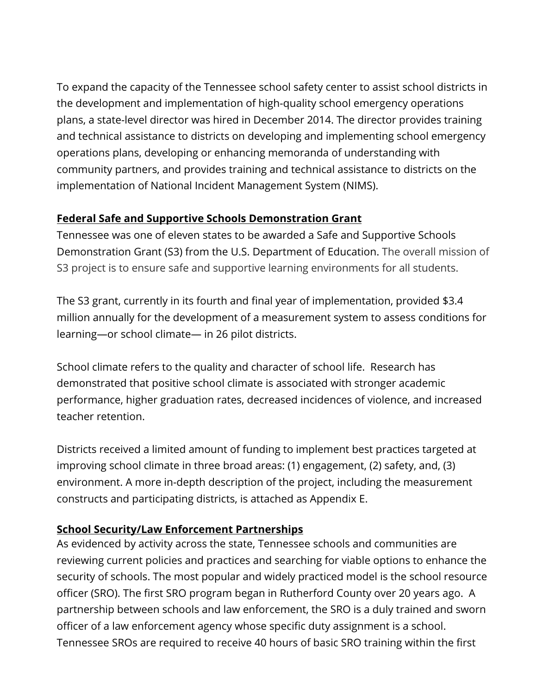To expand the capacity of the Tennessee school safety center to assist school districts in the development and implementation of high-quality school emergency operations plans, a state-level director was hired in December 2014. The director provides training and technical assistance to districts on developing and implementing school emergency operations plans, developing or enhancing memoranda of understanding with community partners, and provides training and technical assistance to districts on the implementation of National Incident Management System (NIMS).

### **Federal Safe and Supportive Schools Demonstration Grant**

Tennessee was one of eleven states to be awarded a Safe and Supportive Schools Demonstration Grant (S3) from the U.S. Department of Education. The overall mission of S3 project is to ensure safe and supportive learning environments for all students.

The S3 grant, currently in its fourth and final year of implementation, provided \$3.4 million annually for the development of a measurement system to assess conditions for learning—or school climate— in 26 pilot districts.

School climate refers to the quality and character of school life. Research has demonstrated that positive school climate is associated with stronger academic performance, higher graduation rates, decreased incidences of violence, and increased teacher retention.

Districts received a limited amount of funding to implement best practices targeted at improving school climate in three broad areas: (1) engagement, (2) safety, and, (3) environment. A more in-depth description of the project, including the measurement constructs and participating districts, is attached as Appendix E.

## **School Security/Law Enforcement Partnerships**

As evidenced by activity across the state, Tennessee schools and communities are reviewing current policies and practices and searching for viable options to enhance the security of schools. The most popular and widely practiced model is the school resource officer (SRO). The first SRO program began in Rutherford County over 20 years ago. A partnership between schools and law enforcement, the SRO is a duly trained and sworn officer of a law enforcement agency whose specific duty assignment is a school. Tennessee SROs are required to receive 40 hours of basic SRO training within the first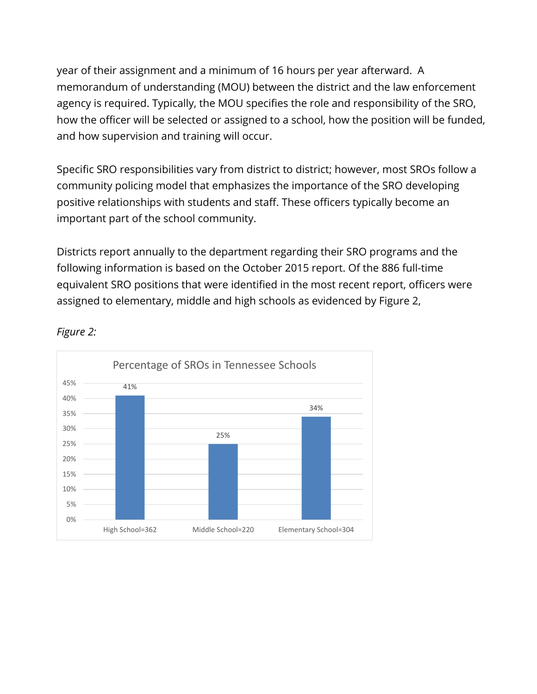year of their assignment and a minimum of 16 hours per year afterward. A memorandum of understanding (MOU) between the district and the law enforcement agency is required. Typically, the MOU specifies the role and responsibility of the SRO, how the officer will be selected or assigned to a school, how the position will be funded, and how supervision and training will occur.

Specific SRO responsibilities vary from district to district; however, most SROs follow a community policing model that emphasizes the importance of the SRO developing positive relationships with students and staff. These officers typically become an important part of the school community.

Districts report annually to the department regarding their SRO programs and the following information is based on the October 2015 report. Of the 886 full-time equivalent SRO positions that were identified in the most recent report, officers were assigned to elementary, middle and high schools as evidenced by Figure 2,



#### *Figure 2:*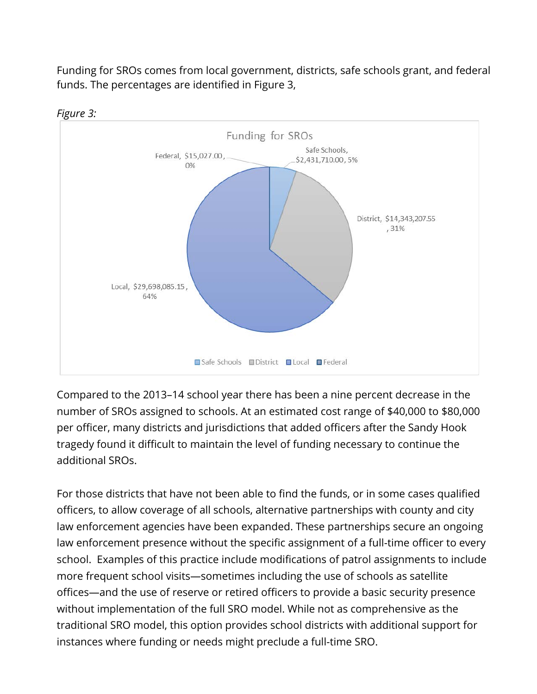Funding for SROs comes from local government, districts, safe schools grant, and federal funds. The percentages are identified in Figure 3,



*Figure 3:*

Compared to the 2013–14 school year there has been a nine percent decrease in the number of SROs assigned to schools. At an estimated cost range of \$40,000 to \$80,000 per officer, many districts and jurisdictions that added officers after the Sandy Hook tragedy found it difficult to maintain the level of funding necessary to continue the additional SROs.

For those districts that have not been able to find the funds, or in some cases qualified officers, to allow coverage of all schools, alternative partnerships with county and city law enforcement agencies have been expanded. These partnerships secure an ongoing law enforcement presence without the specific assignment of a full-time officer to every school. Examples of this practice include modifications of patrol assignments to include more frequent school visits—sometimes including the use of schools as satellite offices—and the use of reserve or retired officers to provide a basic security presence without implementation of the full SRO model. While not as comprehensive as the traditional SRO model, this option provides school districts with additional support for instances where funding or needs might preclude a full-time SRO.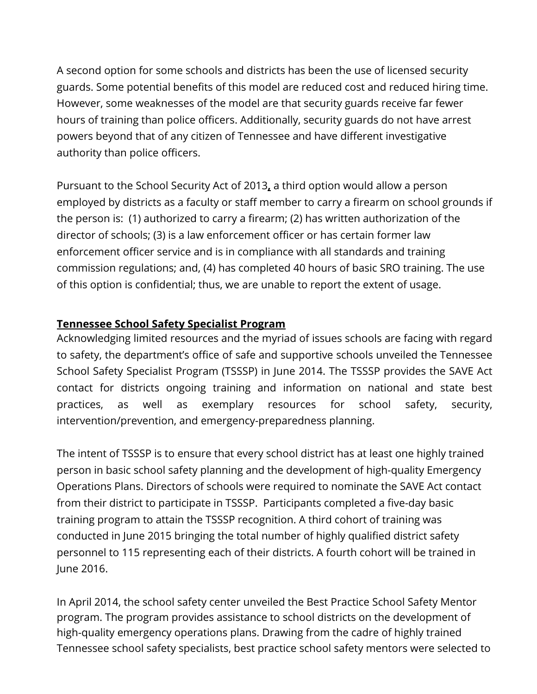A second option for some schools and districts has been the use of licensed security guards. Some potential benefits of this model are reduced cost and reduced hiring time. However, some weaknesses of the model are that security guards receive far fewer hours of training than police officers. Additionally, security guards do not have arrest powers beyond that of any citizen of Tennessee and have different investigative authority than police officers.

Pursuant to the School Security Act of 2013**,** a third option would allow a person employed by districts as a faculty or staff member to carry a firearm on school grounds if the person is: (1) authorized to carry a firearm; (2) has written authorization of the director of schools; (3) is a law enforcement officer or has certain former law enforcement officer service and is in compliance with all standards and training commission regulations; and, (4) has completed 40 hours of basic SRO training. The use of this option is confidential; thus, we are unable to report the extent of usage.

#### **Tennessee School Safety Specialist Program**

Acknowledging limited resources and the myriad of issues schools are facing with regard to safety, the department's office of safe and supportive schools unveiled the Tennessee School Safety Specialist Program (TSSSP) in June 2014. The TSSSP provides the SAVE Act contact for districts ongoing training and information on national and state best practices, as well as exemplary resources for school safety, security, intervention/prevention, and emergency-preparedness planning.

The intent of TSSSP is to ensure that every school district has at least one highly trained person in basic school safety planning and the development of high-quality Emergency Operations Plans. Directors of schools were required to nominate the SAVE Act contact from their district to participate in TSSSP. Participants completed a five-day basic training program to attain the TSSSP recognition. A third cohort of training was conducted in June 2015 bringing the total number of highly qualified district safety personnel to 115 representing each of their districts. A fourth cohort will be trained in June 2016.

In April 2014, the school safety center unveiled the Best Practice School Safety Mentor program. The program provides assistance to school districts on the development of high-quality emergency operations plans. Drawing from the cadre of highly trained Tennessee school safety specialists, best practice school safety mentors were selected to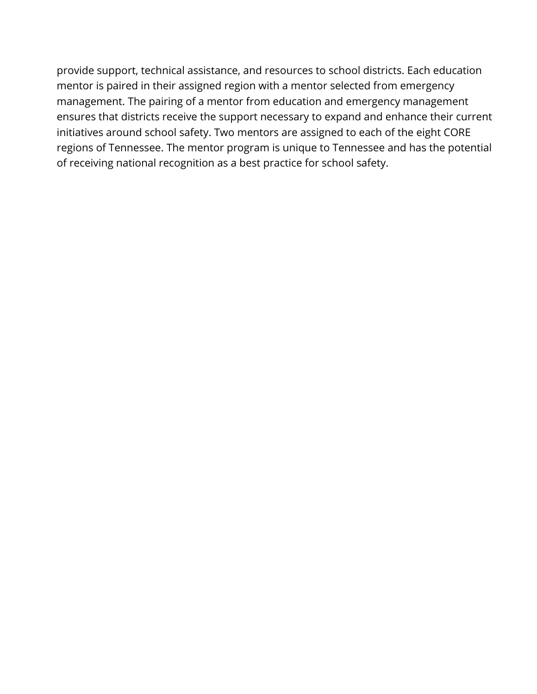provide support, technical assistance, and resources to school districts. Each education mentor is paired in their assigned region with a mentor selected from emergency management. The pairing of a mentor from education and emergency management ensures that districts receive the support necessary to expand and enhance their current initiatives around school safety. Two mentors are assigned to each of the eight CORE regions of Tennessee. The mentor program is unique to Tennessee and has the potential of receiving national recognition as a best practice for school safety.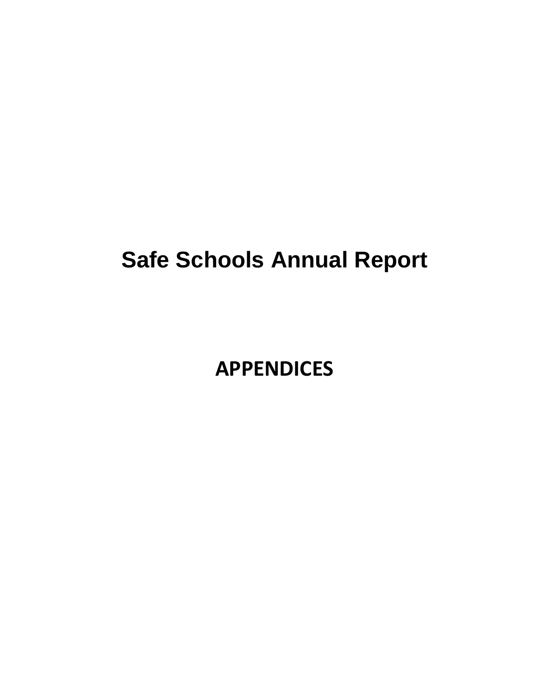# **Safe Schools Annual Report**

# **APPENDICES**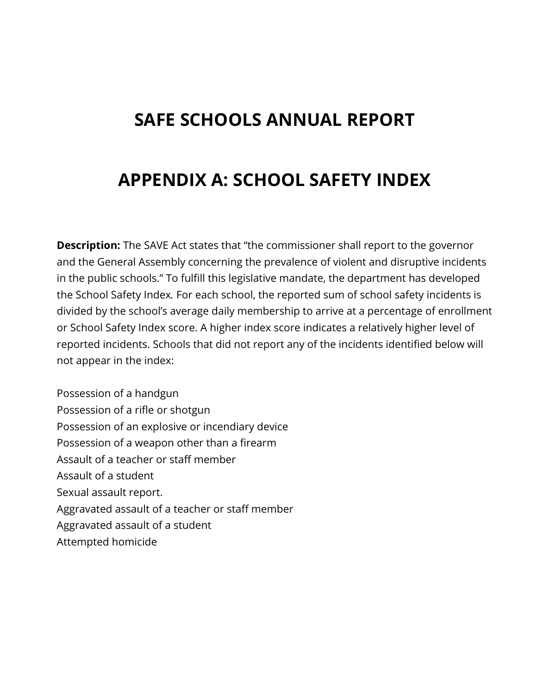## **SAFE SCHOOLS ANNUAL REPORT**

## **APPENDIX A: SCHOOL SAFETY INDEX**

**Description:** The SAVE Act states that "the commissioner shall report to the governor and the General Assembly concerning the prevalence of violent and disruptive incidents in the public schools." To fulfill this legislative mandate, the department has developed the School Safety Index*.* For each school, the reported sum of school safety incidents is divided by the school's average daily membership to arrive at a percentage of enrollment or School Safety Index score. A higher index score indicates a relatively higher level of reported incidents. Schools that did not report any of the incidents identified below will not appear in the index:

Possession of a handgun Possession of a rifle or shotgun Possession of an explosive or incendiary device Possession of a weapon other than a firearm Assault of a teacher or staff member Assault of a student Sexual assault report. Aggravated assault of a teacher or staff member Aggravated assault of a student Attempted homicide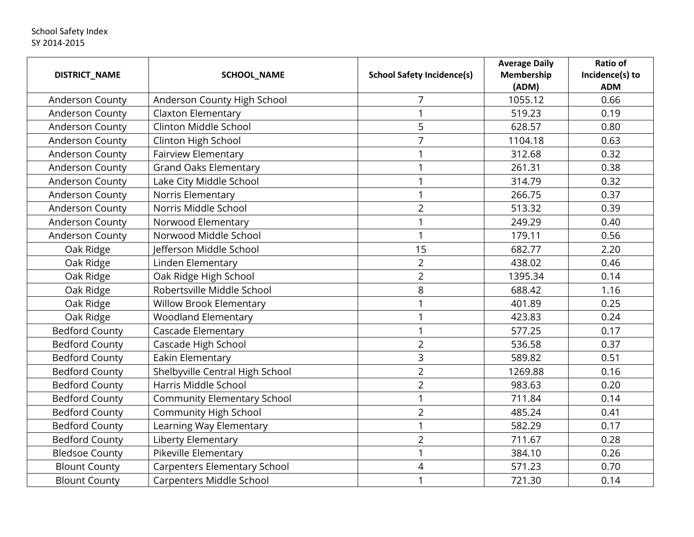#### School Safety Index SY 2014-2015

|                       |                                     |                                   | <b>Average Daily</b> | <b>Ratio of</b>               |
|-----------------------|-------------------------------------|-----------------------------------|----------------------|-------------------------------|
| <b>DISTRICT_NAME</b>  | <b>SCHOOL_NAME</b>                  | <b>School Safety Incidence(s)</b> | Membership<br>(ADM)  | Incidence(s) to<br><b>ADM</b> |
| Anderson County       | Anderson County High School         |                                   | 1055.12              | 0.66                          |
| Anderson County       | Claxton Elementary                  |                                   | 519.23               | 0.19                          |
| Anderson County       | Clinton Middle School               | 5                                 | 628.57               | 0.80                          |
| Anderson County       | Clinton High School                 | $\overline{7}$                    | 1104.18              | 0.63                          |
| Anderson County       | <b>Fairview Elementary</b>          |                                   | 312.68               | 0.32                          |
| Anderson County       | <b>Grand Oaks Elementary</b>        |                                   | 261.31               | 0.38                          |
| Anderson County       | Lake City Middle School             |                                   | 314.79               | 0.32                          |
| Anderson County       | Norris Elementary                   |                                   | 266.75               | 0.37                          |
| Anderson County       | Norris Middle School                | $\overline{2}$                    | 513.32               | 0.39                          |
| Anderson County       | Norwood Elementary                  |                                   | 249.29               | 0.40                          |
| Anderson County       | Norwood Middle School               |                                   | 179.11               | 0.56                          |
| Oak Ridge             | Jefferson Middle School             | 15                                | 682.77               | 2.20                          |
| Oak Ridge             | Linden Elementary                   | $\overline{2}$                    | 438.02               | 0.46                          |
| Oak Ridge             | Oak Ridge High School               | $\overline{2}$                    | 1395.34              | 0.14                          |
| Oak Ridge             | Robertsville Middle School          | 8                                 | 688.42               | 1.16                          |
| Oak Ridge             | <b>Willow Brook Elementary</b>      |                                   | 401.89               | 0.25                          |
| Oak Ridge             | <b>Woodland Elementary</b>          |                                   | 423.83               | 0.24                          |
| <b>Bedford County</b> | Cascade Elementary                  |                                   | 577.25               | 0.17                          |
| <b>Bedford County</b> | Cascade High School                 | $\overline{2}$                    | 536.58               | 0.37                          |
| <b>Bedford County</b> | Eakin Elementary                    | 3                                 | 589.82               | 0.51                          |
| <b>Bedford County</b> | Shelbyville Central High School     | $\overline{2}$                    | 1269.88              | 0.16                          |
| <b>Bedford County</b> | Harris Middle School                | $\overline{2}$                    | 983.63               | 0.20                          |
| <b>Bedford County</b> | <b>Community Elementary School</b>  |                                   | 711.84               | 0.14                          |
| <b>Bedford County</b> | <b>Community High School</b>        | $\overline{2}$                    | 485.24               | 0.41                          |
| <b>Bedford County</b> | Learning Way Elementary             |                                   | 582.29               | 0.17                          |
| <b>Bedford County</b> | Liberty Elementary                  | $\overline{2}$                    | 711.67               | 0.28                          |
| <b>Bledsoe County</b> | Pikeville Elementary                |                                   | 384.10               | 0.26                          |
| <b>Blount County</b>  | <b>Carpenters Elementary School</b> | 4                                 | 571.23               | 0.70                          |
| <b>Blount County</b>  | <b>Carpenters Middle School</b>     |                                   | 721.30               | 0.14                          |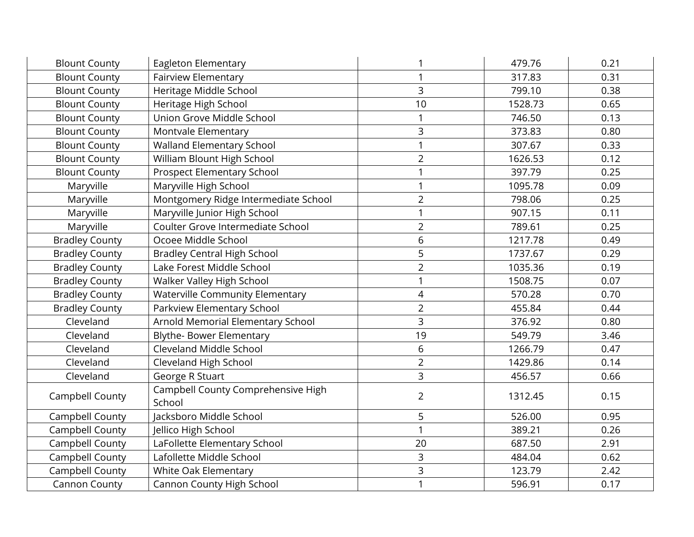| <b>Blount County</b>  | Eagleton Elementary                          |                | 479.76  | 0.21 |
|-----------------------|----------------------------------------------|----------------|---------|------|
| <b>Blount County</b>  | <b>Fairview Elementary</b>                   |                | 317.83  | 0.31 |
| <b>Blount County</b>  | Heritage Middle School                       | $\overline{3}$ | 799.10  | 0.38 |
| <b>Blount County</b>  | Heritage High School                         | 10             | 1528.73 | 0.65 |
| <b>Blount County</b>  | Union Grove Middle School                    |                | 746.50  | 0.13 |
| <b>Blount County</b>  | Montvale Elementary                          | 3              | 373.83  | 0.80 |
| <b>Blount County</b>  | <b>Walland Elementary School</b>             |                | 307.67  | 0.33 |
| <b>Blount County</b>  | William Blount High School                   | $\overline{2}$ | 1626.53 | 0.12 |
| <b>Blount County</b>  | <b>Prospect Elementary School</b>            |                | 397.79  | 0.25 |
| Maryville             | Maryville High School                        |                | 1095.78 | 0.09 |
| Maryville             | Montgomery Ridge Intermediate School         | $\overline{2}$ | 798.06  | 0.25 |
| Maryville             | Maryville Junior High School                 |                | 907.15  | 0.11 |
| Maryville             | Coulter Grove Intermediate School            | $\overline{2}$ | 789.61  | 0.25 |
| <b>Bradley County</b> | Ocoee Middle School                          | 6              | 1217.78 | 0.49 |
| <b>Bradley County</b> | <b>Bradley Central High School</b>           | 5              | 1737.67 | 0.29 |
| <b>Bradley County</b> | Lake Forest Middle School                    | $\overline{2}$ | 1035.36 | 0.19 |
| <b>Bradley County</b> | Walker Valley High School                    |                | 1508.75 | 0.07 |
| <b>Bradley County</b> | <b>Waterville Community Elementary</b>       | $\overline{4}$ | 570.28  | 0.70 |
| <b>Bradley County</b> | Parkview Elementary School                   | $\overline{2}$ | 455.84  | 0.44 |
| Cleveland             | Arnold Memorial Elementary School            | $\overline{3}$ | 376.92  | 0.80 |
| Cleveland             | <b>Blythe- Bower Elementary</b>              | 19             | 549.79  | 3.46 |
| Cleveland             | Cleveland Middle School                      | 6              | 1266.79 | 0.47 |
| Cleveland             | Cleveland High School                        | $\overline{2}$ | 1429.86 | 0.14 |
| Cleveland             | George R Stuart                              | 3              | 456.57  | 0.66 |
| Campbell County       | Campbell County Comprehensive High<br>School | $\overline{2}$ | 1312.45 | 0.15 |
| Campbell County       | Jacksboro Middle School                      | 5              | 526.00  | 0.95 |
| Campbell County       | Jellico High School                          |                | 389.21  | 0.26 |
| Campbell County       | LaFollette Elementary School                 | 20             | 687.50  | 2.91 |
| Campbell County       | Lafollette Middle School                     | 3              | 484.04  | 0.62 |
| Campbell County       | White Oak Elementary                         | 3              | 123.79  | 2.42 |
| Cannon County         | Cannon County High School                    |                | 596.91  | 0.17 |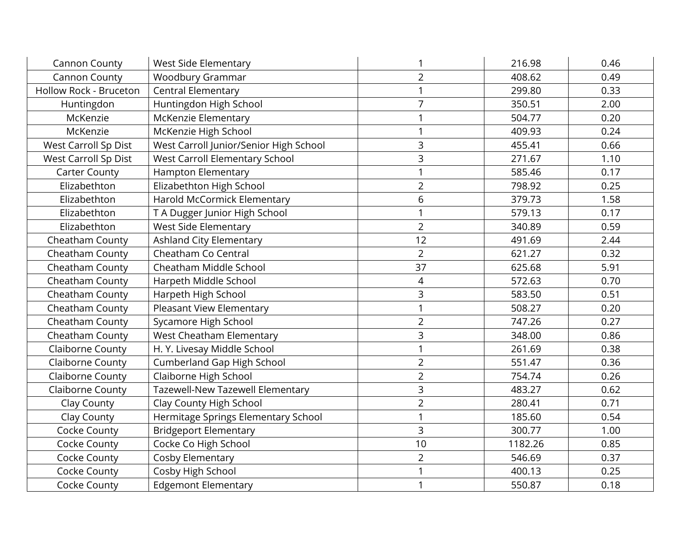| <b>Cannon County</b>   | West Side Elementary                   |                | 216.98  | 0.46 |
|------------------------|----------------------------------------|----------------|---------|------|
| <b>Cannon County</b>   | Woodbury Grammar                       | $\overline{2}$ | 408.62  | 0.49 |
| Hollow Rock - Bruceton | <b>Central Elementary</b>              |                | 299.80  | 0.33 |
| Huntingdon             | Huntingdon High School                 | $\overline{7}$ | 350.51  | 2.00 |
| McKenzie               | McKenzie Elementary                    |                | 504.77  | 0.20 |
| McKenzie               | McKenzie High School                   |                | 409.93  | 0.24 |
| West Carroll Sp Dist   | West Carroll Junior/Senior High School | $\overline{3}$ | 455.41  | 0.66 |
| West Carroll Sp Dist   | <b>West Carroll Elementary School</b>  | 3              | 271.67  | 1.10 |
| <b>Carter County</b>   | <b>Hampton Elementary</b>              |                | 585.46  | 0.17 |
| Elizabethton           | Elizabethton High School               | $\overline{2}$ | 798.92  | 0.25 |
| Elizabethton           | Harold McCormick Elementary            | 6              | 379.73  | 1.58 |
| Elizabethton           | T A Dugger Junior High School          |                | 579.13  | 0.17 |
| Elizabethton           | West Side Elementary                   | $\overline{2}$ | 340.89  | 0.59 |
| Cheatham County        | <b>Ashland City Elementary</b>         | 12             | 491.69  | 2.44 |
| Cheatham County        | Cheatham Co Central                    | $\overline{2}$ | 621.27  | 0.32 |
| Cheatham County        | Cheatham Middle School                 | 37             | 625.68  | 5.91 |
| Cheatham County        | Harpeth Middle School                  | $\overline{4}$ | 572.63  | 0.70 |
| Cheatham County        | Harpeth High School                    | 3              | 583.50  | 0.51 |
| Cheatham County        | Pleasant View Elementary               |                | 508.27  | 0.20 |
| Cheatham County        | Sycamore High School                   | $\overline{2}$ | 747.26  | 0.27 |
| Cheatham County        | West Cheatham Elementary               | 3              | 348.00  | 0.86 |
| Claiborne County       | H. Y. Livesay Middle School            |                | 261.69  | 0.38 |
| Claiborne County       | Cumberland Gap High School             | $\overline{2}$ | 551.47  | 0.36 |
| Claiborne County       | Claiborne High School                  | $\overline{2}$ | 754.74  | 0.26 |
| Claiborne County       | Tazewell-New Tazewell Elementary       | 3              | 483.27  | 0.62 |
| Clay County            | Clay County High School                | $\overline{2}$ | 280.41  | 0.71 |
| Clay County            | Hermitage Springs Elementary School    |                | 185.60  | 0.54 |
| Cocke County           | <b>Bridgeport Elementary</b>           | 3              | 300.77  | 1.00 |
| Cocke County           | Cocke Co High School                   | 10             | 1182.26 | 0.85 |
| Cocke County           | Cosby Elementary                       | $\overline{2}$ | 546.69  | 0.37 |
| Cocke County           | Cosby High School                      |                | 400.13  | 0.25 |
| Cocke County           | <b>Edgemont Elementary</b>             | 1              | 550.87  | 0.18 |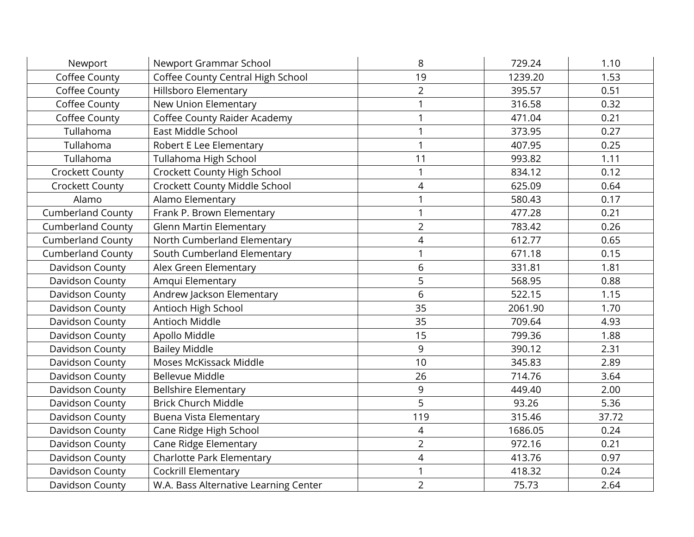| Newport                  | Newport Grammar School                | 8              | 729.24  | 1.10  |
|--------------------------|---------------------------------------|----------------|---------|-------|
| Coffee County            | Coffee County Central High School     | 19             | 1239.20 | 1.53  |
| Coffee County            | <b>Hillsboro Elementary</b>           | $\overline{2}$ | 395.57  | 0.51  |
| Coffee County            | New Union Elementary                  |                | 316.58  | 0.32  |
| Coffee County            | <b>Coffee County Raider Academy</b>   |                | 471.04  | 0.21  |
| Tullahoma                | East Middle School                    |                | 373.95  | 0.27  |
| Tullahoma                | Robert E Lee Elementary               |                | 407.95  | 0.25  |
| Tullahoma                | Tullahoma High School                 | 11             | 993.82  | 1.11  |
| <b>Crockett County</b>   | Crockett County High School           |                | 834.12  | 0.12  |
| <b>Crockett County</b>   | Crockett County Middle School         | 4              | 625.09  | 0.64  |
| Alamo                    | Alamo Elementary                      |                | 580.43  | 0.17  |
| <b>Cumberland County</b> | Frank P. Brown Elementary             |                | 477.28  | 0.21  |
| <b>Cumberland County</b> | <b>Glenn Martin Elementary</b>        | $\overline{2}$ | 783.42  | 0.26  |
| <b>Cumberland County</b> | North Cumberland Elementary           | $\overline{4}$ | 612.77  | 0.65  |
| <b>Cumberland County</b> | South Cumberland Elementary           |                | 671.18  | 0.15  |
| Davidson County          | Alex Green Elementary                 | 6              | 331.81  | 1.81  |
| Davidson County          | Amqui Elementary                      | 5              | 568.95  | 0.88  |
| Davidson County          | Andrew Jackson Elementary             | 6              | 522.15  | 1.15  |
| Davidson County          | Antioch High School                   | 35             | 2061.90 | 1.70  |
| Davidson County          | Antioch Middle                        | 35             | 709.64  | 4.93  |
| Davidson County          | Apollo Middle                         | 15             | 799.36  | 1.88  |
| Davidson County          | <b>Bailey Middle</b>                  | 9              | 390.12  | 2.31  |
| Davidson County          | Moses McKissack Middle                | 10             | 345.83  | 2.89  |
| Davidson County          | <b>Bellevue Middle</b>                | 26             | 714.76  | 3.64  |
| Davidson County          | <b>Bellshire Elementary</b>           | 9              | 449.40  | 2.00  |
| Davidson County          | <b>Brick Church Middle</b>            | 5              | 93.26   | 5.36  |
| Davidson County          | Buena Vista Elementary                | 119            | 315.46  | 37.72 |
| Davidson County          | Cane Ridge High School                | 4              | 1686.05 | 0.24  |
| Davidson County          | Cane Ridge Elementary                 | $\overline{2}$ | 972.16  | 0.21  |
| Davidson County          | Charlotte Park Elementary             | 4              | 413.76  | 0.97  |
| Davidson County          | Cockrill Elementary                   |                | 418.32  | 0.24  |
| Davidson County          | W.A. Bass Alternative Learning Center | $\overline{2}$ | 75.73   | 2.64  |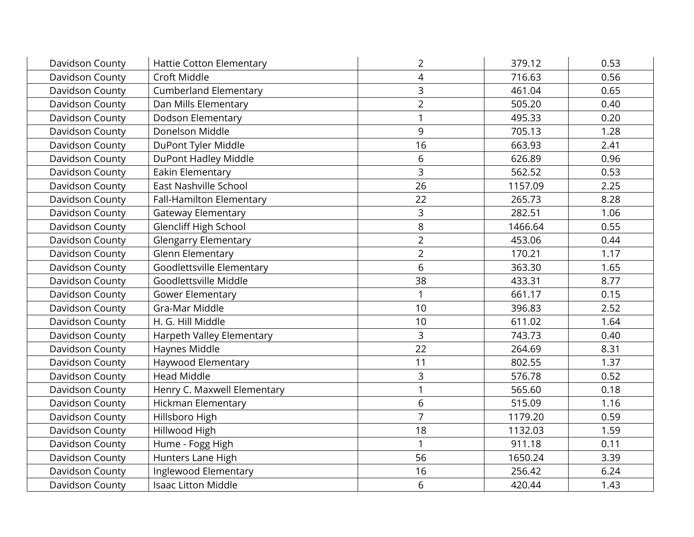| Davidson County | <b>Hattie Cotton Elementary</b> | $\overline{2}$ | 379.12  | 0.53 |
|-----------------|---------------------------------|----------------|---------|------|
| Davidson County | Croft Middle                    | 4              | 716.63  | 0.56 |
| Davidson County | <b>Cumberland Elementary</b>    | $\overline{3}$ | 461.04  | 0.65 |
| Davidson County | Dan Mills Elementary            | $\overline{2}$ | 505.20  | 0.40 |
| Davidson County | Dodson Elementary               | $\mathbf{1}$   | 495.33  | 0.20 |
| Davidson County | Donelson Middle                 | 9              | 705.13  | 1.28 |
| Davidson County | DuPont Tyler Middle             | 16             | 663.93  | 2.41 |
| Davidson County | DuPont Hadley Middle            | 6              | 626.89  | 0.96 |
| Davidson County | Eakin Elementary                | 3              | 562.52  | 0.53 |
| Davidson County | East Nashville School           | 26             | 1157.09 | 2.25 |
| Davidson County | Fall-Hamilton Elementary        | 22             | 265.73  | 8.28 |
| Davidson County | <b>Gateway Elementary</b>       | 3              | 282.51  | 1.06 |
| Davidson County | <b>Glencliff High School</b>    | 8              | 1466.64 | 0.55 |
| Davidson County | <b>Glengarry Elementary</b>     | $\overline{2}$ | 453.06  | 0.44 |
| Davidson County | <b>Glenn Elementary</b>         | $\overline{2}$ | 170.21  | 1.17 |
| Davidson County | Goodlettsville Elementary       | 6              | 363.30  | 1.65 |
| Davidson County | Goodlettsville Middle           | 38             | 433.31  | 8.77 |
| Davidson County | <b>Gower Elementary</b>         |                | 661.17  | 0.15 |
| Davidson County | Gra-Mar Middle                  | 10             | 396.83  | 2.52 |
| Davidson County | H. G. Hill Middle               | 10             | 611.02  | 1.64 |
| Davidson County | Harpeth Valley Elementary       | 3              | 743.73  | 0.40 |
| Davidson County | Haynes Middle                   | 22             | 264.69  | 8.31 |
| Davidson County | Haywood Elementary              | 11             | 802.55  | 1.37 |
| Davidson County | <b>Head Middle</b>              | 3              | 576.78  | 0.52 |
| Davidson County | Henry C. Maxwell Elementary     |                | 565.60  | 0.18 |
| Davidson County | <b>Hickman Elementary</b>       | 6              | 515.09  | 1.16 |
| Davidson County | Hillsboro High                  | $\overline{7}$ | 1179.20 | 0.59 |
| Davidson County | Hillwood High                   | 18             | 1132.03 | 1.59 |
| Davidson County | Hume - Fogg High                | $\mathbf{1}$   | 911.18  | 0.11 |
| Davidson County | Hunters Lane High               | 56             | 1650.24 | 3.39 |
| Davidson County | Inglewood Elementary            | 16             | 256.42  | 6.24 |
| Davidson County | <b>Isaac Litton Middle</b>      | 6              | 420.44  | 1.43 |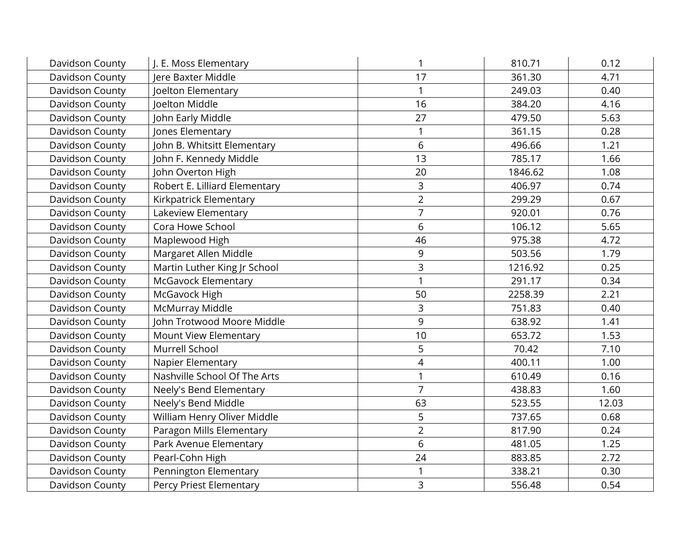| Davidson County | J. E. Moss Elementary         |                | 810.71  | 0.12  |
|-----------------|-------------------------------|----------------|---------|-------|
| Davidson County | Jere Baxter Middle            | 17             | 361.30  | 4.71  |
| Davidson County | Joelton Elementary            |                | 249.03  | 0.40  |
| Davidson County | Joelton Middle                | 16             | 384.20  | 4.16  |
| Davidson County | John Early Middle             | 27             | 479.50  | 5.63  |
| Davidson County | Jones Elementary              |                | 361.15  | 0.28  |
| Davidson County | John B. Whitsitt Elementary   | 6              | 496.66  | 1.21  |
| Davidson County | John F. Kennedy Middle        | 13             | 785.17  | 1.66  |
| Davidson County | John Overton High             | 20             | 1846.62 | 1.08  |
| Davidson County | Robert E. Lilliard Elementary | 3              | 406.97  | 0.74  |
| Davidson County | Kirkpatrick Elementary        | $\overline{2}$ | 299.29  | 0.67  |
| Davidson County | Lakeview Elementary           | $\overline{7}$ | 920.01  | 0.76  |
| Davidson County | Cora Howe School              | 6              | 106.12  | 5.65  |
| Davidson County | Maplewood High                | 46             | 975.38  | 4.72  |
| Davidson County | Margaret Allen Middle         | 9              | 503.56  | 1.79  |
| Davidson County | Martin Luther King Jr School  | $\overline{3}$ | 1216.92 | 0.25  |
| Davidson County | <b>McGavock Elementary</b>    |                | 291.17  | 0.34  |
| Davidson County | McGavock High                 | 50             | 2258.39 | 2.21  |
| Davidson County | McMurray Middle               | $\overline{3}$ | 751.83  | 0.40  |
| Davidson County | John Trotwood Moore Middle    | 9              | 638.92  | 1.41  |
| Davidson County | <b>Mount View Elementary</b>  | 10             | 653.72  | 1.53  |
| Davidson County | Murrell School                | 5              | 70.42   | 7.10  |
| Davidson County | Napier Elementary             | $\overline{4}$ | 400.11  | 1.00  |
| Davidson County | Nashville School Of The Arts  |                | 610.49  | 0.16  |
| Davidson County | Neely's Bend Elementary       | 7              | 438.83  | 1.60  |
| Davidson County | Neely's Bend Middle           | 63             | 523.55  | 12.03 |
| Davidson County | William Henry Oliver Middle   | 5              | 737.65  | 0.68  |
| Davidson County | Paragon Mills Elementary      | $\overline{2}$ | 817.90  | 0.24  |
| Davidson County | Park Avenue Elementary        | 6              | 481.05  | 1.25  |
| Davidson County | Pearl-Cohn High               | 24             | 883.85  | 2.72  |
| Davidson County | Pennington Elementary         |                | 338.21  | 0.30  |
| Davidson County | Percy Priest Elementary       | $\overline{3}$ | 556.48  | 0.54  |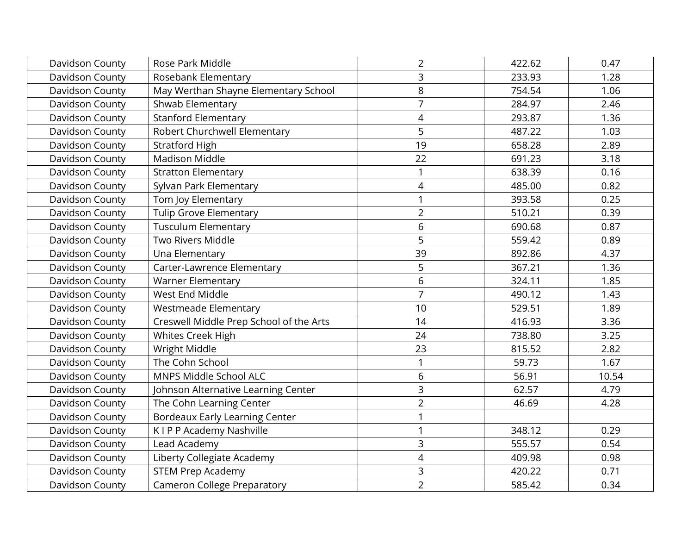| Davidson County | Rose Park Middle                        | $\overline{2}$ | 422.62 | 0.47  |
|-----------------|-----------------------------------------|----------------|--------|-------|
| Davidson County | Rosebank Elementary                     | 3              | 233.93 | 1.28  |
| Davidson County | May Werthan Shayne Elementary School    | 8              | 754.54 | 1.06  |
| Davidson County | Shwab Elementary                        | $\overline{7}$ | 284.97 | 2.46  |
| Davidson County | <b>Stanford Elementary</b>              | 4              | 293.87 | 1.36  |
| Davidson County | Robert Churchwell Elementary            | 5              | 487.22 | 1.03  |
| Davidson County | <b>Stratford High</b>                   | 19             | 658.28 | 2.89  |
| Davidson County | <b>Madison Middle</b>                   | 22             | 691.23 | 3.18  |
| Davidson County | <b>Stratton Elementary</b>              |                | 638.39 | 0.16  |
| Davidson County | Sylvan Park Elementary                  | $\overline{4}$ | 485.00 | 0.82  |
| Davidson County | Tom Joy Elementary                      |                | 393.58 | 0.25  |
| Davidson County | <b>Tulip Grove Elementary</b>           | $\overline{2}$ | 510.21 | 0.39  |
| Davidson County | <b>Tusculum Elementary</b>              | 6              | 690.68 | 0.87  |
| Davidson County | Two Rivers Middle                       | 5              | 559.42 | 0.89  |
| Davidson County | Una Elementary                          | 39             | 892.86 | 4.37  |
| Davidson County | Carter-Lawrence Elementary              | 5              | 367.21 | 1.36  |
| Davidson County | Warner Elementary                       | 6              | 324.11 | 1.85  |
| Davidson County | West End Middle                         | $\overline{7}$ | 490.12 | 1.43  |
| Davidson County | Westmeade Elementary                    | 10             | 529.51 | 1.89  |
| Davidson County | Creswell Middle Prep School of the Arts | 14             | 416.93 | 3.36  |
| Davidson County | Whites Creek High                       | 24             | 738.80 | 3.25  |
| Davidson County | Wright Middle                           | 23             | 815.52 | 2.82  |
| Davidson County | The Cohn School                         |                | 59.73  | 1.67  |
| Davidson County | MNPS Middle School ALC                  | 6              | 56.91  | 10.54 |
| Davidson County | Johnson Alternative Learning Center     | 3              | 62.57  | 4.79  |
| Davidson County | The Cohn Learning Center                | $\overline{2}$ | 46.69  | 4.28  |
| Davidson County | <b>Bordeaux Early Learning Center</b>   |                |        |       |
| Davidson County | KIPP Academy Nashville                  |                | 348.12 | 0.29  |
| Davidson County | Lead Academy                            | 3              | 555.57 | 0.54  |
| Davidson County | Liberty Collegiate Academy              | $\overline{4}$ | 409.98 | 0.98  |
| Davidson County | <b>STEM Prep Academy</b>                | 3              | 420.22 | 0.71  |
| Davidson County | <b>Cameron College Preparatory</b>      | $\overline{2}$ | 585.42 | 0.34  |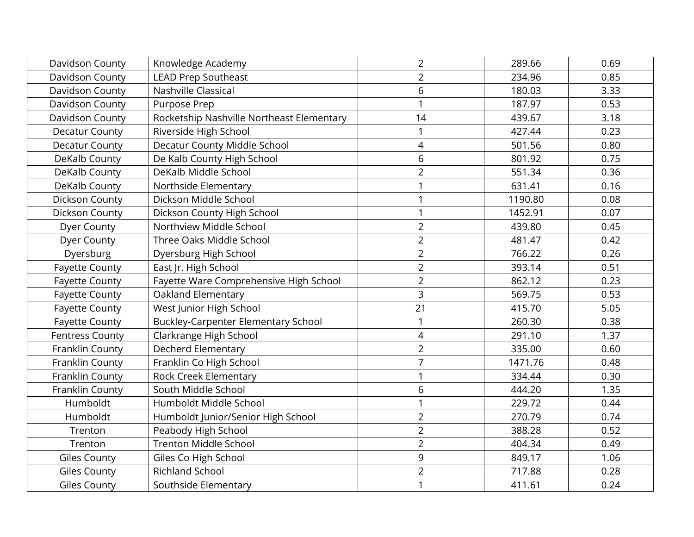| Davidson County        | Knowledge Academy                          | $\overline{2}$ | 289.66  | 0.69 |
|------------------------|--------------------------------------------|----------------|---------|------|
| Davidson County        | <b>LEAD Prep Southeast</b>                 | $\overline{2}$ | 234.96  | 0.85 |
| Davidson County        | Nashville Classical                        | 6              | 180.03  | 3.33 |
| Davidson County        | Purpose Prep                               |                | 187.97  | 0.53 |
| Davidson County        | Rocketship Nashville Northeast Elementary  | 14             | 439.67  | 3.18 |
| <b>Decatur County</b>  | Riverside High School                      |                | 427.44  | 0.23 |
| <b>Decatur County</b>  | Decatur County Middle School               | $\overline{4}$ | 501.56  | 0.80 |
| DeKalb County          | De Kalb County High School                 | 6              | 801.92  | 0.75 |
| DeKalb County          | DeKalb Middle School                       | $\overline{2}$ | 551.34  | 0.36 |
| DeKalb County          | Northside Elementary                       |                | 631.41  | 0.16 |
| Dickson County         | Dickson Middle School                      |                | 1190.80 | 0.08 |
| Dickson County         | Dickson County High School                 |                | 1452.91 | 0.07 |
| Dyer County            | Northview Middle School                    | $\overline{2}$ | 439.80  | 0.45 |
| Dyer County            | Three Oaks Middle School                   | $\overline{2}$ | 481.47  | 0.42 |
| Dyersburg              | Dyersburg High School                      | $\overline{2}$ | 766.22  | 0.26 |
| <b>Fayette County</b>  | East Jr. High School                       | $\overline{2}$ | 393.14  | 0.51 |
| <b>Fayette County</b>  | Fayette Ware Comprehensive High School     | $\overline{2}$ | 862.12  | 0.23 |
| <b>Fayette County</b>  | Oakland Elementary                         | 3              | 569.75  | 0.53 |
| <b>Fayette County</b>  | West Junior High School                    | 21             | 415.70  | 5.05 |
| <b>Fayette County</b>  | <b>Buckley-Carpenter Elementary School</b> |                | 260.30  | 0.38 |
| <b>Fentress County</b> | Clarkrange High School                     | $\overline{4}$ | 291.10  | 1.37 |
| Franklin County        | Decherd Elementary                         | $\overline{2}$ | 335.00  | 0.60 |
| Franklin County        | Franklin Co High School                    | $\overline{7}$ | 1471.76 | 0.48 |
| Franklin County        | <b>Rock Creek Elementary</b>               |                | 334.44  | 0.30 |
| Franklin County        | South Middle School                        | 6              | 444.20  | 1.35 |
| Humboldt               | Humboldt Middle School                     |                | 229.72  | 0.44 |
| Humboldt               | Humboldt Junior/Senior High School         | $\overline{2}$ | 270.79  | 0.74 |
| Trenton                | Peabody High School                        | $\overline{2}$ | 388.28  | 0.52 |
| Trenton                | <b>Trenton Middle School</b>               | $\overline{2}$ | 404.34  | 0.49 |
| <b>Giles County</b>    | Giles Co High School                       | 9              | 849.17  | 1.06 |
| <b>Giles County</b>    | <b>Richland School</b>                     | $\overline{2}$ | 717.88  | 0.28 |
| <b>Giles County</b>    | Southside Elementary                       | 1              | 411.61  | 0.24 |